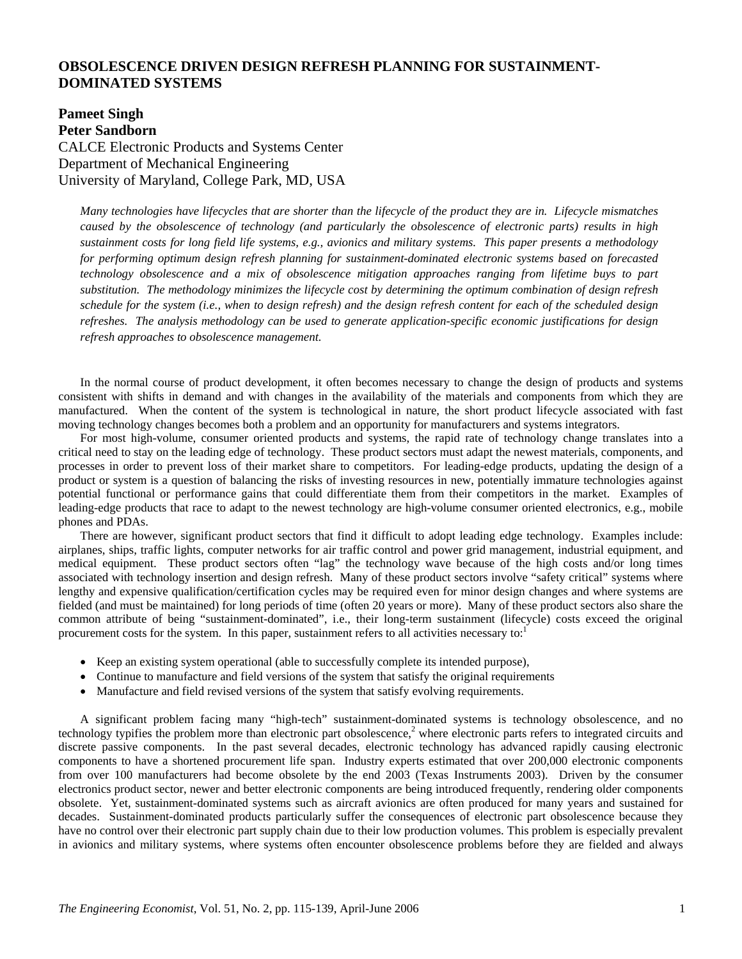# **OBSOLESCENCE DRIVEN DESIGN REFRESH PLANNING FOR SUSTAINMENT-DOMINATED SYSTEMS**

# **Pameet Singh Peter Sandborn**  CALCE Electronic Products and Systems Center Department of Mechanical Engineering University of Maryland, College Park, MD, USA

*Many technologies have lifecycles that are shorter than the lifecycle of the product they are in. Lifecycle mismatches caused by the obsolescence of technology (and particularly the obsolescence of electronic parts) results in high sustainment costs for long field life systems, e.g., avionics and military systems. This paper presents a methodology for performing optimum design refresh planning for sustainment-dominated electronic systems based on forecasted technology obsolescence and a mix of obsolescence mitigation approaches ranging from lifetime buys to part substitution. The methodology minimizes the lifecycle cost by determining the optimum combination of design refresh schedule for the system (i.e., when to design refresh) and the design refresh content for each of the scheduled design refreshes. The analysis methodology can be used to generate application-specific economic justifications for design refresh approaches to obsolescence management.* 

In the normal course of product development, it often becomes necessary to change the design of products and systems consistent with shifts in demand and with changes in the availability of the materials and components from which they are manufactured. When the content of the system is technological in nature, the short product lifecycle associated with fast moving technology changes becomes both a problem and an opportunity for manufacturers and systems integrators.

For most high-volume, consumer oriented products and systems, the rapid rate of technology change translates into a critical need to stay on the leading edge of technology. These product sectors must adapt the newest materials, components, and processes in order to prevent loss of their market share to competitors. For leading-edge products, updating the design of a product or system is a question of balancing the risks of investing resources in new, potentially immature technologies against potential functional or performance gains that could differentiate them from their competitors in the market. Examples of leading-edge products that race to adapt to the newest technology are high-volume consumer oriented electronics, e.g., mobile phones and PDAs.

There are however, significant product sectors that find it difficult to adopt leading edge technology. Examples include: airplanes, ships, traffic lights, computer networks for air traffic control and power grid management, industrial equipment, and medical equipment. These product sectors often "lag" the technology wave because of the high costs and/or long times associated with technology insertion and design refresh. Many of these product sectors involve "safety critical" systems where lengthy and expensive qualification/certification cycles may be required even for minor design changes and where systems are fielded (and must be maintained) for long periods of time (often 20 years or more). Many of these product sectors also share the common attribute of being "sustainment-dominated", i.e., their long-term sustainment (lifecycle) costs exceed the original procurement costs for the system. In this paper, sustainment refers to all activities necessary to: $1$ 

- Keep an existing system operational (able to successfully complete its intended purpose),
- Continue to manufacture and field versions of the system that satisfy the original requirements
- Manufacture and field revised versions of the system that satisfy evolving requirements.

A significant problem facing many "high-tech" sustainment-dominated systems is technology obsolescence, and no technology typifies the problem more than electronic part obsolescence,<sup>2</sup> where electronic parts refers to integrated circuits and discrete passive components. In the past several decades, electronic technology has advanced rapidly causing electronic components to have a shortened procurement life span. Industry experts estimated that over 200,000 electronic components from over 100 manufacturers had become obsolete by the end 2003 (Texas Instruments 2003). Driven by the consumer electronics product sector, newer and better electronic components are being introduced frequently, rendering older components obsolete. Yet, sustainment-dominated systems such as aircraft avionics are often produced for many years and sustained for decades. Sustainment-dominated products particularly suffer the consequences of electronic part obsolescence because they have no control over their electronic part supply chain due to their low production volumes. This problem is especially prevalent in avionics and military systems, where systems often encounter obsolescence problems before they are fielded and always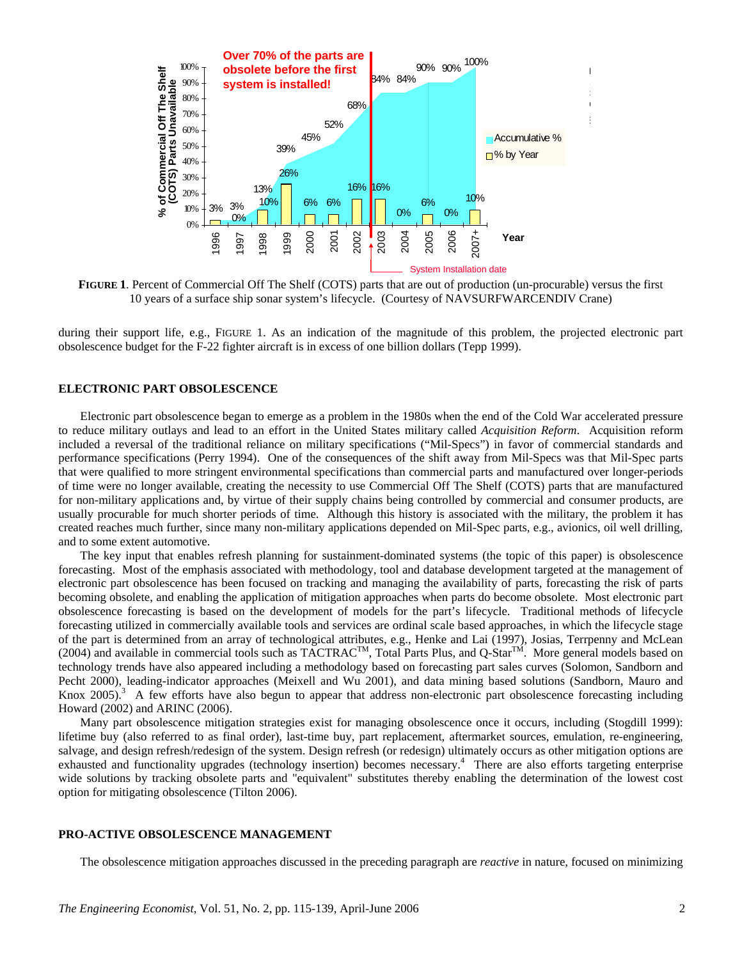

**FIGURE 1**. Percent of Commercial Off The Shelf (COTS) parts that are out of production (un-procurable) versus the first 10 years of a surface ship sonar system's lifecycle. (Courtesy of NAVSURFWARCENDIV Crane)

during their support life, e.g., FIGURE 1. As an indication of the magnitude of this problem, the projected electronic part obsolescence budget for the F-22 fighter aircraft is in excess of one billion dollars (Tepp 1999).

# **ELECTRONIC PART OBSOLESCENCE**

Electronic part obsolescence began to emerge as a problem in the 1980s when the end of the Cold War accelerated pressure to reduce military outlays and lead to an effort in the United States military called *Acquisition Reform*. Acquisition reform included a reversal of the traditional reliance on military specifications ("Mil-Specs") in favor of commercial standards and performance specifications (Perry 1994). One of the consequences of the shift away from Mil-Specs was that Mil-Spec parts that were qualified to more stringent environmental specifications than commercial parts and manufactured over longer-periods of time were no longer available, creating the necessity to use Commercial Off The Shelf (COTS) parts that are manufactured for non-military applications and, by virtue of their supply chains being controlled by commercial and consumer products, are usually procurable for much shorter periods of time. Although this history is associated with the military, the problem it has created reaches much further, since many non-military applications depended on Mil-Spec parts, e.g., avionics, oil well drilling, and to some extent automotive.

The key input that enables refresh planning for sustainment-dominated systems (the topic of this paper) is obsolescence forecasting. Most of the emphasis associated with methodology, tool and database development targeted at the management of electronic part obsolescence has been focused on tracking and managing the availability of parts, forecasting the risk of parts becoming obsolete, and enabling the application of mitigation approaches when parts do become obsolete. Most electronic part obsolescence forecasting is based on the development of models for the part's lifecycle. Traditional methods of lifecycle forecasting utilized in commercially available tools and services are ordinal scale based approaches, in which the lifecycle stage of the part is determined from an array of technological attributes, e.g., Henke and Lai (1997), Josias, Terrpenny and McLean (2004) and available in commercial tools such as  $TACTRAC^{TM}$ , Total Parts Plus, and Q-Star<sup>TM</sup>. More general models based on technology trends have also appeared including a methodology based on forecasting part sales curves (Solomon, Sandborn and Pecht 2000), leading-indicator approaches (Meixell and Wu 2001), and data mining based solutions (Sandborn, Mauro and Knox 2005).<sup>3</sup> A few efforts have also begun to appear that address non-electronic part obsolescence forecasting including Howard (2002) and ARINC (2006).

Many part obsolescence mitigation strategies exist for managing obsolescence once it occurs, including (Stogdill 1999): lifetime buy (also referred to as final order), last-time buy, part replacement, aftermarket sources, emulation, re-engineering, salvage, and design refresh/redesign of the system. Design refresh (or redesign) ultimately occurs as other mitigation options are exhausted and functionality upgrades (technology insertion) becomes necessary.<sup>4</sup> There are also efforts targeting enterprise wide solutions by tracking obsolete parts and "equivalent" substitutes thereby enabling the determination of the lowest cost option for mitigating obsolescence (Tilton 2006).

#### **PRO-ACTIVE OBSOLESCENCE MANAGEMENT**

The obsolescence mitigation approaches discussed in the preceding paragraph are *reactive* in nature, focused on minimizing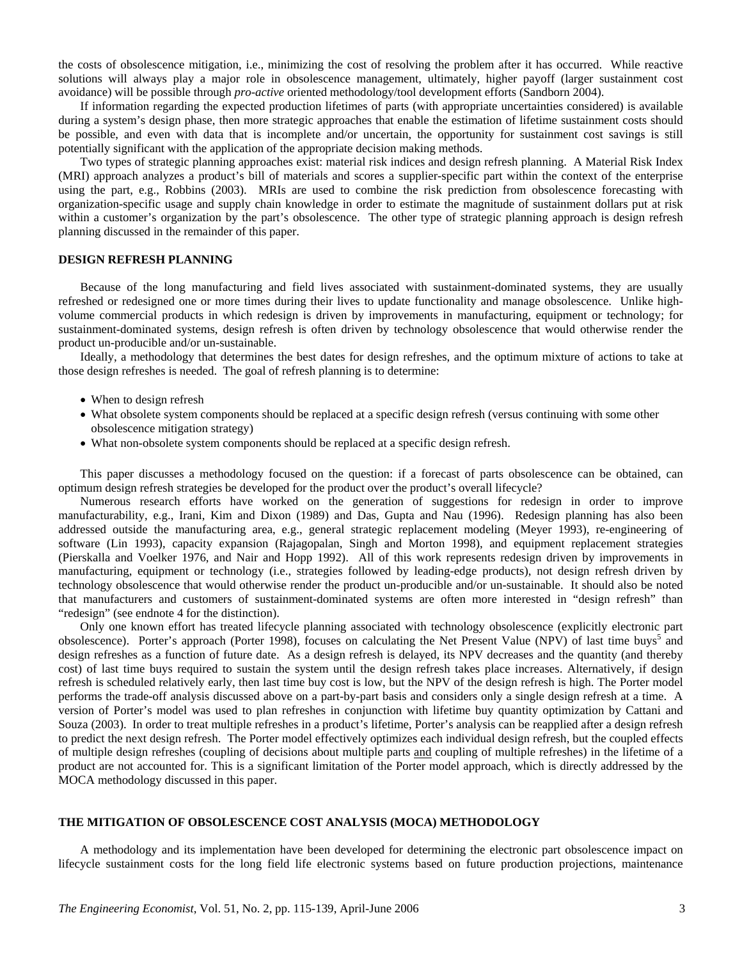the costs of obsolescence mitigation, i.e., minimizing the cost of resolving the problem after it has occurred. While reactive solutions will always play a major role in obsolescence management, ultimately, higher payoff (larger sustainment cost avoidance) will be possible through *pro-active* oriented methodology/tool development efforts (Sandborn 2004).

If information regarding the expected production lifetimes of parts (with appropriate uncertainties considered) is available during a system's design phase, then more strategic approaches that enable the estimation of lifetime sustainment costs should be possible, and even with data that is incomplete and/or uncertain, the opportunity for sustainment cost savings is still potentially significant with the application of the appropriate decision making methods.

Two types of strategic planning approaches exist: material risk indices and design refresh planning. A Material Risk Index (MRI) approach analyzes a product's bill of materials and scores a supplier-specific part within the context of the enterprise using the part, e.g., Robbins (2003). MRIs are used to combine the risk prediction from obsolescence forecasting with organization-specific usage and supply chain knowledge in order to estimate the magnitude of sustainment dollars put at risk within a customer's organization by the part's obsolescence. The other type of strategic planning approach is design refresh planning discussed in the remainder of this paper.

# **DESIGN REFRESH PLANNING**

Because of the long manufacturing and field lives associated with sustainment-dominated systems, they are usually refreshed or redesigned one or more times during their lives to update functionality and manage obsolescence. Unlike highvolume commercial products in which redesign is driven by improvements in manufacturing, equipment or technology; for sustainment-dominated systems, design refresh is often driven by technology obsolescence that would otherwise render the product un-producible and/or un-sustainable.

Ideally, a methodology that determines the best dates for design refreshes, and the optimum mixture of actions to take at those design refreshes is needed. The goal of refresh planning is to determine:

- When to design refresh
- What obsolete system components should be replaced at a specific design refresh (versus continuing with some other obsolescence mitigation strategy)
- What non-obsolete system components should be replaced at a specific design refresh.

This paper discusses a methodology focused on the question: if a forecast of parts obsolescence can be obtained, can optimum design refresh strategies be developed for the product over the product's overall lifecycle?

Numerous research efforts have worked on the generation of suggestions for redesign in order to improve manufacturability, e.g., Irani, Kim and Dixon (1989) and Das, Gupta and Nau (1996). Redesign planning has also been addressed outside the manufacturing area, e.g., general strategic replacement modeling (Meyer 1993), re-engineering of software (Lin 1993), capacity expansion (Rajagopalan, Singh and Morton 1998), and equipment replacement strategies (Pierskalla and Voelker 1976, and Nair and Hopp 1992). All of this work represents redesign driven by improvements in manufacturing, equipment or technology (i.e., strategies followed by leading-edge products), not design refresh driven by technology obsolescence that would otherwise render the product un-producible and/or un-sustainable. It should also be noted that manufacturers and customers of sustainment-dominated systems are often more interested in "design refresh" than "redesign" (see endnote 4 for the distinction).

Only one known effort has treated lifecycle planning associated with technology obsolescence (explicitly electronic part obsolescence). Porter's approach (Porter 1998), focuses on calculating the Net Present Value (NPV) of last time buys<sup>5</sup> and design refreshes as a function of future date. As a design refresh is delayed, its NPV decreases and the quantity (and thereby cost) of last time buys required to sustain the system until the design refresh takes place increases. Alternatively, if design refresh is scheduled relatively early, then last time buy cost is low, but the NPV of the design refresh is high. The Porter model performs the trade-off analysis discussed above on a part-by-part basis and considers only a single design refresh at a time. A version of Porter's model was used to plan refreshes in conjunction with lifetime buy quantity optimization by Cattani and Souza (2003). In order to treat multiple refreshes in a product's lifetime, Porter's analysis can be reapplied after a design refresh to predict the next design refresh. The Porter model effectively optimizes each individual design refresh, but the coupled effects of multiple design refreshes (coupling of decisions about multiple parts and coupling of multiple refreshes) in the lifetime of a product are not accounted for. This is a significant limitation of the Porter model approach, which is directly addressed by the MOCA methodology discussed in this paper.

#### **THE MITIGATION OF OBSOLESCENCE COST ANALYSIS (MOCA) METHODOLOGY**

A methodology and its implementation have been developed for determining the electronic part obsolescence impact on lifecycle sustainment costs for the long field life electronic systems based on future production projections, maintenance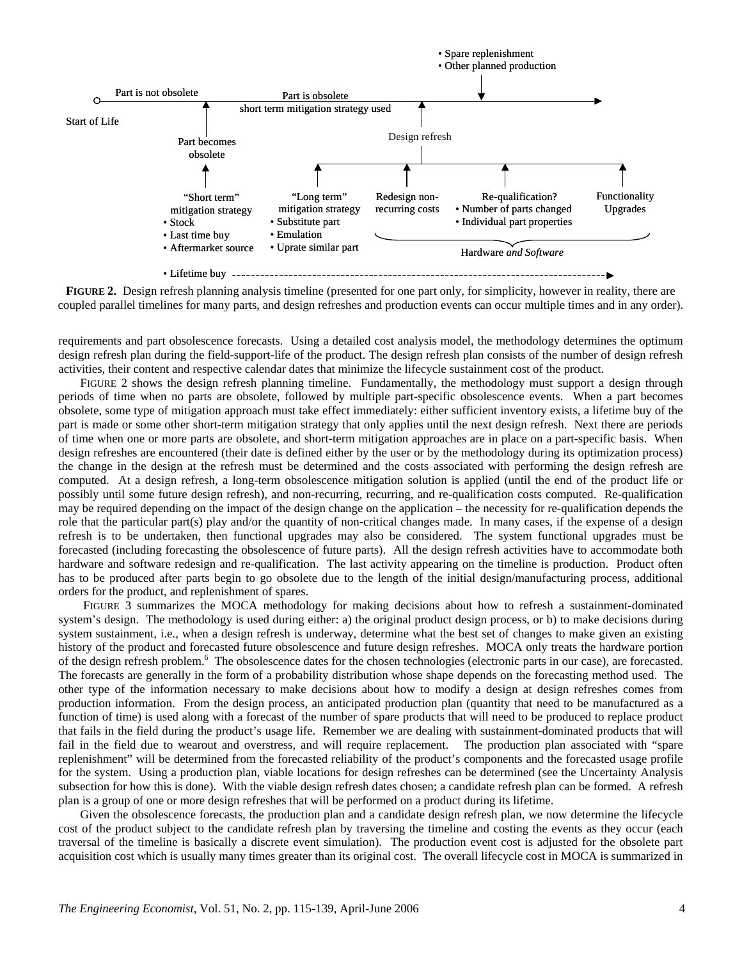

**FIGURE 2.** Design refresh planning analysis timeline (presented for one part only, for simplicity, however in reality, there are coupled parallel timelines for many parts, and design refreshes and production events can occur multiple times and in any order).

requirements and part obsolescence forecasts. Using a detailed cost analysis model, the methodology determines the optimum design refresh plan during the field-support-life of the product. The design refresh plan consists of the number of design refresh activities, their content and respective calendar dates that minimize the lifecycle sustainment cost of the product.

FIGURE 2 shows the design refresh planning timeline. Fundamentally, the methodology must support a design through periods of time when no parts are obsolete, followed by multiple part-specific obsolescence events. When a part becomes obsolete, some type of mitigation approach must take effect immediately: either sufficient inventory exists, a lifetime buy of the part is made or some other short-term mitigation strategy that only applies until the next design refresh. Next there are periods of time when one or more parts are obsolete, and short-term mitigation approaches are in place on a part-specific basis. When design refreshes are encountered (their date is defined either by the user or by the methodology during its optimization process) the change in the design at the refresh must be determined and the costs associated with performing the design refresh are computed. At a design refresh, a long-term obsolescence mitigation solution is applied (until the end of the product life or possibly until some future design refresh), and non-recurring, recurring, and re-qualification costs computed. Re-qualification may be required depending on the impact of the design change on the application – the necessity for re-qualification depends the role that the particular part(s) play and/or the quantity of non-critical changes made. In many cases, if the expense of a design refresh is to be undertaken, then functional upgrades may also be considered. The system functional upgrades must be forecasted (including forecasting the obsolescence of future parts). All the design refresh activities have to accommodate both hardware and software redesign and re-qualification. The last activity appearing on the timeline is production. Product often has to be produced after parts begin to go obsolete due to the length of the initial design/manufacturing process, additional orders for the product, and replenishment of spares.

 FIGURE 3 summarizes the MOCA methodology for making decisions about how to refresh a sustainment-dominated system's design. The methodology is used during either: a) the original product design process, or b) to make decisions during system sustainment, i.e., when a design refresh is underway, determine what the best set of changes to make given an existing history of the product and forecasted future obsolescence and future design refreshes. MOCA only treats the hardware portion of the design refresh problem.<sup>6</sup> The obsolescence dates for the chosen technologies (electronic parts in our case), are forecasted. The forecasts are generally in the form of a probability distribution whose shape depends on the forecasting method used. The other type of the information necessary to make decisions about how to modify a design at design refreshes comes from production information. From the design process, an anticipated production plan (quantity that need to be manufactured as a function of time) is used along with a forecast of the number of spare products that will need to be produced to replace product that fails in the field during the product's usage life. Remember we are dealing with sustainment-dominated products that will fail in the field due to wearout and overstress, and will require replacement. The production plan associated with "spare replenishment" will be determined from the forecasted reliability of the product's components and the forecasted usage profile for the system. Using a production plan, viable locations for design refreshes can be determined (see the Uncertainty Analysis subsection for how this is done). With the viable design refresh dates chosen; a candidate refresh plan can be formed. A refresh plan is a group of one or more design refreshes that will be performed on a product during its lifetime.

Given the obsolescence forecasts, the production plan and a candidate design refresh plan, we now determine the lifecycle cost of the product subject to the candidate refresh plan by traversing the timeline and costing the events as they occur (each traversal of the timeline is basically a discrete event simulation). The production event cost is adjusted for the obsolete part acquisition cost which is usually many times greater than its original cost. The overall lifecycle cost in MOCA is summarized in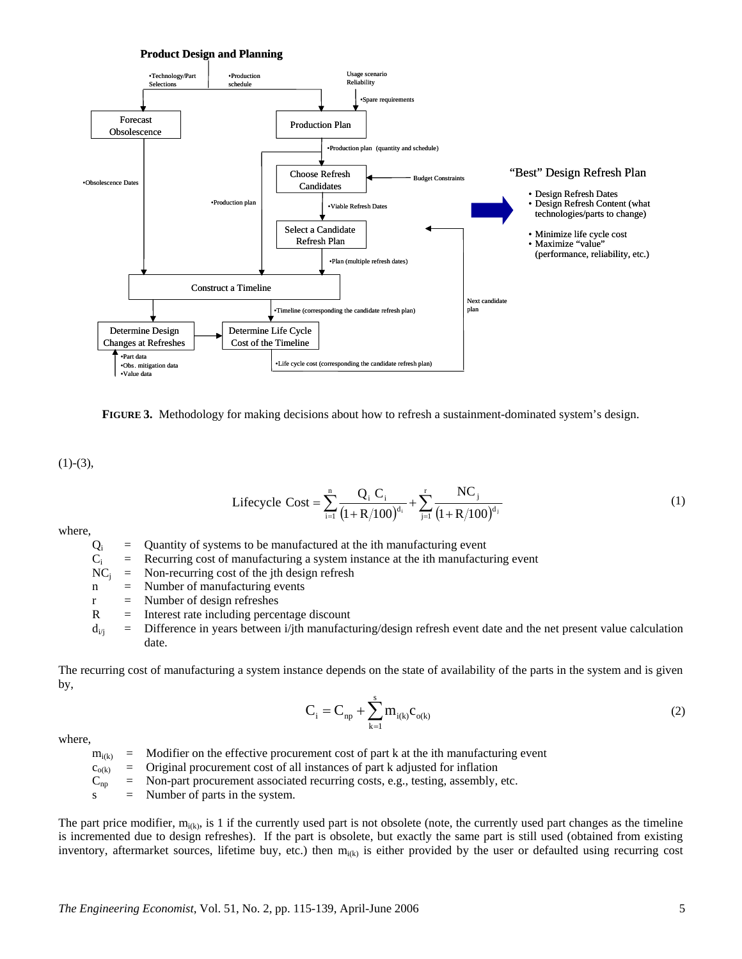

**FIGURE 3.** Methodology for making decisions about how to refresh a sustainment-dominated system's design.

 $(1)-(3)$ ,

Lifecycle Cost = 
$$
\sum_{i=1}^{n} \frac{Q_i C_i}{(1 + R/100)^{d_i}} + \sum_{j=1}^{r} \frac{NC_j}{(1 + R/100)^{d_j}}
$$
(1)

where,

 $Q_i$  = Quantity of systems to be manufactured at the ith manufacturing event

- $C_i$  = Recurring cost of manufacturing a system instance at the ith manufacturing event  $NC_i$  = Non-recurring cost of the jth design refresh
- $=$  Non-recurring cost of the jth design refresh
- $n =$  Number of manufacturing events
- r = Number of design refreshes
- $R =$  Interest rate including percentage discount
- $d_{ij}$  = Difference in years between i/jth manufacturing/design refresh event date and the net present value calculation date.

The recurring cost of manufacturing a system instance depends on the state of availability of the parts in the system and is given by,

$$
C_i = C_{np} + \sum_{k=1}^{s} m_{i(k)} c_{o(k)}
$$
 (2)

where,

 $m_{i(k)}$  = Modifier on the effective procurement cost of part k at the ith manufacturing event

 $c_{o(k)}$  = Original procurement cost of all instances of part k adjusted for inflation

 $C_{np}$  = Non-part procurement associated recurring costs, e.g., testing, assembly, etc.

 $s =$  Number of parts in the system.

The part price modifier,  $m_{i(k)}$ , is 1 if the currently used part is not obsolete (note, the currently used part changes as the timeline is incremented due to design refreshes). If the part is obsolete, but exactly the same part is still used (obtained from existing inventory, aftermarket sources, lifetime buy, etc.) then  $m_{i(k)}$  is either provided by the user or defaulted using recurring cost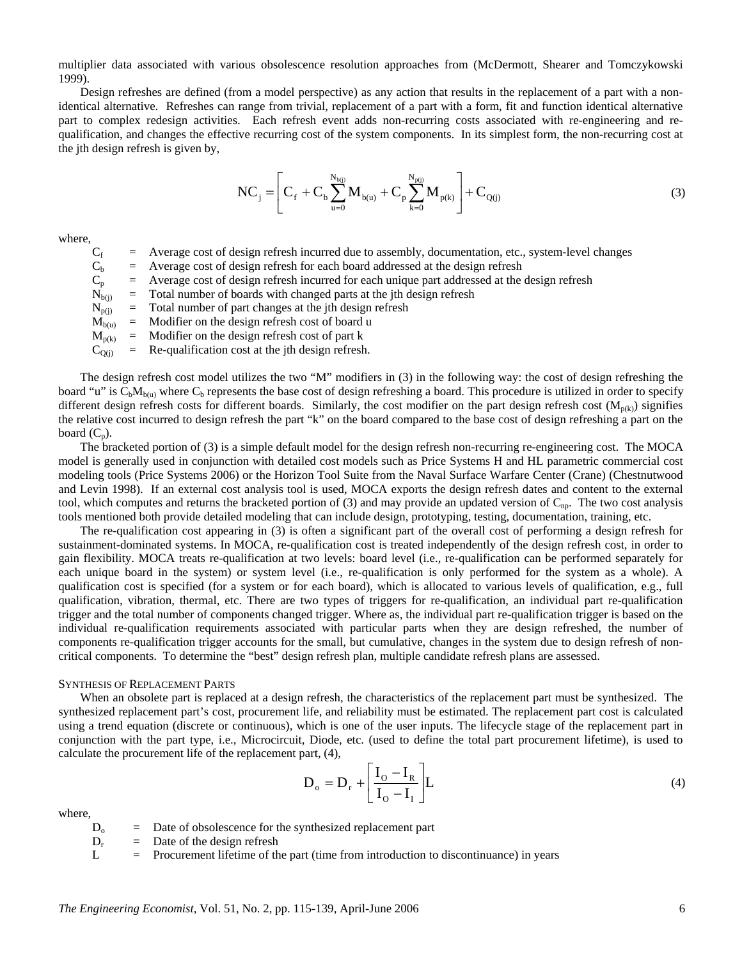multiplier data associated with various obsolescence resolution approaches from (McDermott, Shearer and Tomczykowski 1999).

Design refreshes are defined (from a model perspective) as any action that results in the replacement of a part with a nonidentical alternative. Refreshes can range from trivial, replacement of a part with a form, fit and function identical alternative part to complex redesign activities. Each refresh event adds non-recurring costs associated with re-engineering and requalification, and changes the effective recurring cost of the system components. In its simplest form, the non-recurring cost at the jth design refresh is given by,

$$
NC_{j} = \left[C_{f} + C_{b} \sum_{u=0}^{N_{b(j)}} M_{b(u)} + C_{p} \sum_{k=0}^{N_{p(j)}} M_{p(k)}\right] + C_{Q(j)}
$$
(3)

where,

$$
C_f
$$
 = Average cost of design refresh incurred due to assembly, documentation, etc., system-level changes

 $C_b$  = Average cost of design refresh for each board addressed at the design refresh  $C_p$  = Average cost of design refresh incurred for each unique part addressed at the  $C_p$  = Average cost of design refresh incurred for each unique part addressed at the design refresh  $N_{h(i)}$  = Total number of boards with changed parts at the jth design refresh

 $=$  Total number of boards with changed parts at the jth design refresh

 $N_{p(j)}$  = Total number of part changes at the jth design refresh

 $M_{b(u)}$  = Modifier on the design refresh cost of board u

 $M_{p(k)}$  = Modifier on the design refresh cost of part k

 $C_{Q(i)}$  = Re-qualification cost at the jth design refresh.

The design refresh cost model utilizes the two "M" modifiers in (3) in the following way: the cost of design refreshing the board "u" is  $C_bM_{b(u)}$  where  $C_b$  represents the base cost of design refreshing a board. This procedure is utilized in order to specify different design refresh costs for different boards. Similarly, the cost modifier on the part design refresh cost  $(M_{p(k)})$  signifies the relative cost incurred to design refresh the part "k" on the board compared to the base cost of design refreshing a part on the board  $(C_p)$ .

The bracketed portion of (3) is a simple default model for the design refresh non-recurring re-engineering cost. The MOCA model is generally used in conjunction with detailed cost models such as Price Systems H and HL parametric commercial cost modeling tools (Price Systems 2006) or the Horizon Tool Suite from the Naval Surface Warfare Center (Crane) (Chestnutwood and Levin 1998). If an external cost analysis tool is used, MOCA exports the design refresh dates and content to the external tool, which computes and returns the bracketed portion of (3) and may provide an updated version of  $C_{\text{np}}$ . The two cost analysis tools mentioned both provide detailed modeling that can include design, prototyping, testing, documentation, training, etc.

The re-qualification cost appearing in (3) is often a significant part of the overall cost of performing a design refresh for sustainment-dominated systems. In MOCA, re-qualification cost is treated independently of the design refresh cost, in order to gain flexibility. MOCA treats re-qualification at two levels: board level (i.e., re-qualification can be performed separately for each unique board in the system) or system level (i.e., re-qualification is only performed for the system as a whole). A qualification cost is specified (for a system or for each board), which is allocated to various levels of qualification, e.g., full qualification, vibration, thermal, etc. There are two types of triggers for re-qualification, an individual part re-qualification trigger and the total number of components changed trigger. Where as, the individual part re-qualification trigger is based on the individual re-qualification requirements associated with particular parts when they are design refreshed, the number of components re-qualification trigger accounts for the small, but cumulative, changes in the system due to design refresh of noncritical components. To determine the "best" design refresh plan, multiple candidate refresh plans are assessed.

#### SYNTHESIS OF REPLACEMENT PARTS

When an obsolete part is replaced at a design refresh, the characteristics of the replacement part must be synthesized. The synthesized replacement part's cost, procurement life, and reliability must be estimated. The replacement part cost is calculated using a trend equation (discrete or continuous), which is one of the user inputs. The lifecycle stage of the replacement part in conjunction with the part type, i.e., Microcircuit, Diode, etc. (used to define the total part procurement lifetime), is used to calculate the procurement life of the replacement part, (4),

$$
D_o = D_r + \left[\frac{I_o - I_R}{I_o - I_I}\right]L
$$
\n(4)

where,

- $D_0$  = Date of obsolescence for the synthesized replacement part  $D_r$  = Date of the design refresh
- $=$  Date of the design refresh
- $L =$  Procurement lifetime of the part (time from introduction to discontinuance) in years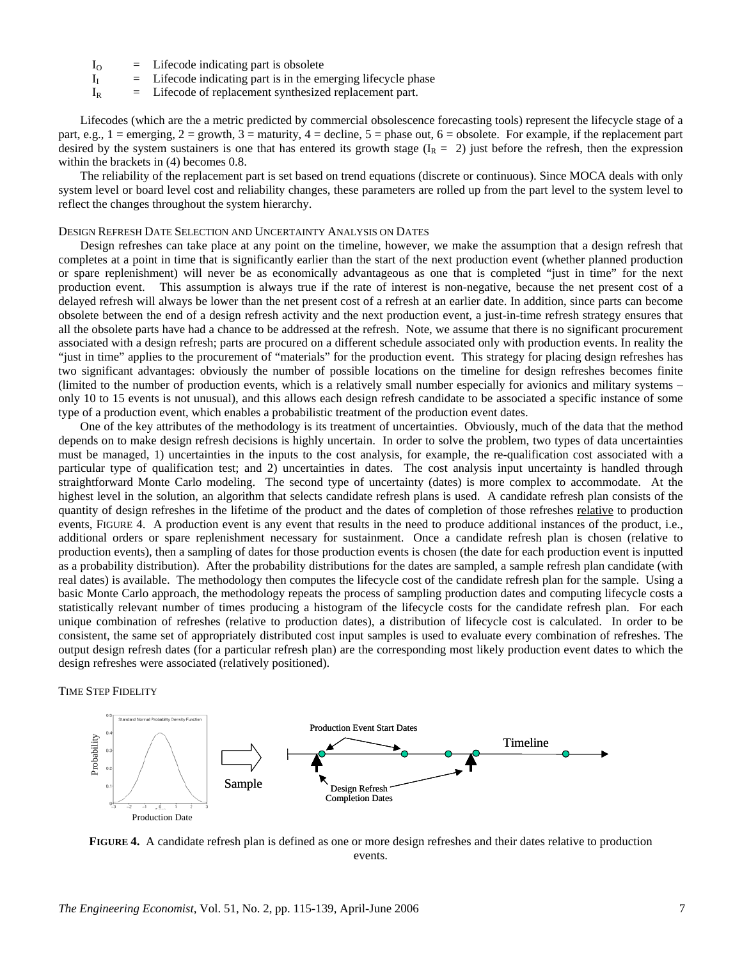- $I<sub>O</sub>$  = Lifecode indicating part is obsolete
- $I<sub>I</sub>$  = Lifecode indicating part is in the emerging lifecycle phase
- $I_R$  = Lifecode of replacement synthesized replacement part.

Lifecodes (which are the a metric predicted by commercial obsolescence forecasting tools) represent the lifecycle stage of a part, e.g.,  $1 =$  emerging,  $2 =$  growth,  $3 =$  maturity,  $4 =$  decline,  $5 =$  phase out,  $6 =$  obsolete. For example, if the replacement part desired by the system sustainers is one that has entered its growth stage ( $I_R = 2$ ) just before the refresh, then the expression within the brackets in (4) becomes 0.8.

The reliability of the replacement part is set based on trend equations (discrete or continuous). Since MOCA deals with only system level or board level cost and reliability changes, these parameters are rolled up from the part level to the system level to reflect the changes throughout the system hierarchy.

### DESIGN REFRESH DATE SELECTION AND UNCERTAINTY ANALYSIS ON DATES

Design refreshes can take place at any point on the timeline, however, we make the assumption that a design refresh that completes at a point in time that is significantly earlier than the start of the next production event (whether planned production or spare replenishment) will never be as economically advantageous as one that is completed "just in time" for the next production event.This assumption is always true if the rate of interest is non-negative, because the net present cost of a delayed refresh will always be lower than the net present cost of a refresh at an earlier date. In addition, since parts can become obsolete between the end of a design refresh activity and the next production event, a just-in-time refresh strategy ensures that all the obsolete parts have had a chance to be addressed at the refresh. Note, we assume that there is no significant procurement associated with a design refresh; parts are procured on a different schedule associated only with production events. In reality the "just in time" applies to the procurement of "materials" for the production event. This strategy for placing design refreshes has two significant advantages: obviously the number of possible locations on the timeline for design refreshes becomes finite (limited to the number of production events, which is a relatively small number especially for avionics and military systems – only 10 to 15 events is not unusual), and this allows each design refresh candidate to be associated a specific instance of some type of a production event, which enables a probabilistic treatment of the production event dates.

One of the key attributes of the methodology is its treatment of uncertainties. Obviously, much of the data that the method depends on to make design refresh decisions is highly uncertain. In order to solve the problem, two types of data uncertainties must be managed, 1) uncertainties in the inputs to the cost analysis, for example, the re-qualification cost associated with a particular type of qualification test; and 2) uncertainties in dates. The cost analysis input uncertainty is handled through straightforward Monte Carlo modeling. The second type of uncertainty (dates) is more complex to accommodate. At the highest level in the solution, an algorithm that selects candidate refresh plans is used. A candidate refresh plan consists of the quantity of design refreshes in the lifetime of the product and the dates of completion of those refreshes relative to production events, FIGURE 4. A production event is any event that results in the need to produce additional instances of the product, i.e., additional orders or spare replenishment necessary for sustainment. Once a candidate refresh plan is chosen (relative to production events), then a sampling of dates for those production events is chosen (the date for each production event is inputted as a probability distribution). After the probability distributions for the dates are sampled, a sample refresh plan candidate (with real dates) is available. The methodology then computes the lifecycle cost of the candidate refresh plan for the sample. Using a basic Monte Carlo approach, the methodology repeats the process of sampling production dates and computing lifecycle costs a statistically relevant number of times producing a histogram of the lifecycle costs for the candidate refresh plan. For each unique combination of refreshes (relative to production dates), a distribution of lifecycle cost is calculated. In order to be consistent, the same set of appropriately distributed cost input samples is used to evaluate every combination of refreshes. The output design refresh dates (for a particular refresh plan) are the corresponding most likely production event dates to which the design refreshes were associated (relatively positioned).

### TIME STEP FIDELITY



**FIGURE 4.** A candidate refresh plan is defined as one or more design refreshes and their dates relative to production events.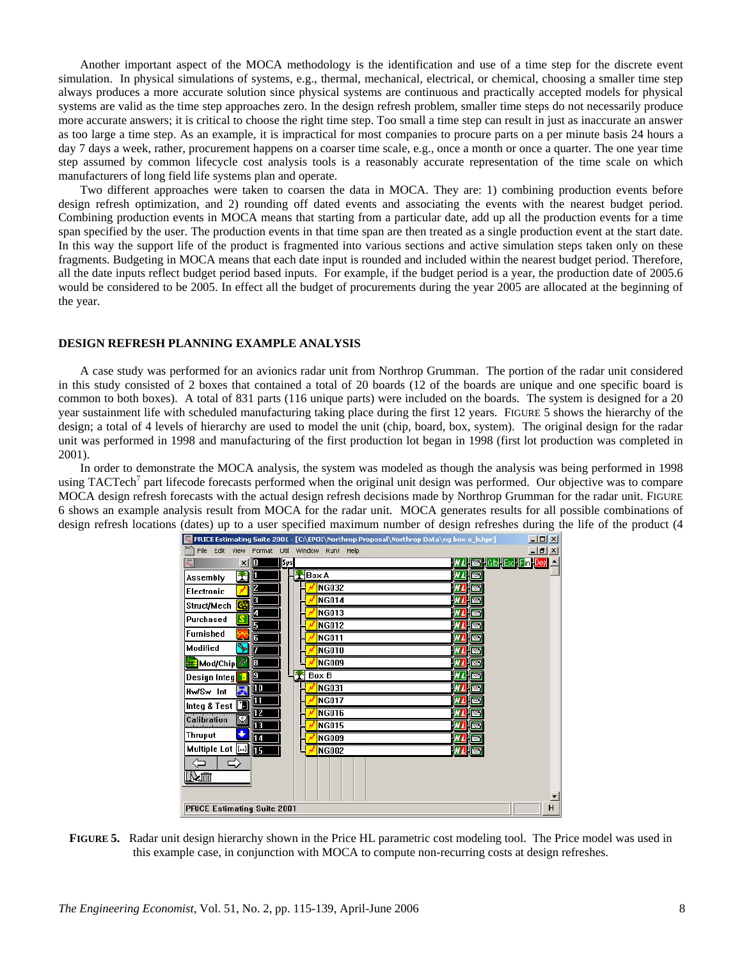Another important aspect of the MOCA methodology is the identification and use of a time step for the discrete event simulation. In physical simulations of systems, e.g., thermal, mechanical, electrical, or chemical, choosing a smaller time step always produces a more accurate solution since physical systems are continuous and practically accepted models for physical systems are valid as the time step approaches zero. In the design refresh problem, smaller time steps do not necessarily produce more accurate answers; it is critical to choose the right time step. Too small a time step can result in just as inaccurate an answer as too large a time step. As an example, it is impractical for most companies to procure parts on a per minute basis 24 hours a day 7 days a week, rather, procurement happens on a coarser time scale, e.g., once a month or once a quarter. The one year time step assumed by common lifecycle cost analysis tools is a reasonably accurate representation of the time scale on which manufacturers of long field life systems plan and operate.

Two different approaches were taken to coarsen the data in MOCA. They are: 1) combining production events before design refresh optimization, and 2) rounding off dated events and associating the events with the nearest budget period. Combining production events in MOCA means that starting from a particular date, add up all the production events for a time span specified by the user. The production events in that time span are then treated as a single production event at the start date. In this way the support life of the product is fragmented into various sections and active simulation steps taken only on these fragments. Budgeting in MOCA means that each date input is rounded and included within the nearest budget period. Therefore, all the date inputs reflect budget period based inputs. For example, if the budget period is a year, the production date of 2005.6 would be considered to be 2005. In effect all the budget of procurements during the year 2005 are allocated at the beginning of the year.

#### **DESIGN REFRESH PLANNING EXAMPLE ANALYSIS**

A case study was performed for an avionics radar unit from Northrop Grumman. The portion of the radar unit considered in this study consisted of 2 boxes that contained a total of 20 boards (12 of the boards are unique and one specific board is common to both boxes). A total of 831 parts (116 unique parts) were included on the boards. The system is designed for a 20 year sustainment life with scheduled manufacturing taking place during the first 12 years. FIGURE 5 shows the hierarchy of the design; a total of 4 levels of hierarchy are used to model the unit (chip, board, box, system). The original design for the radar unit was performed in 1998 and manufacturing of the first production lot began in 1998 (first lot production was completed in 2001).

In order to demonstrate the MOCA analysis, the system was modeled as though the analysis was being performed in 1998 using TACTech<sup>7</sup> part lifecode forecasts performed when the original unit design was performed. Our objective was to compare MOCA design refresh forecasts with the actual design refresh decisions made by Northrop Grumman for the radar unit. FIGURE 6 shows an example analysis result from MOCA for the radar unit. MOCA generates results for all possible combinations of design refresh locations (dates) up to a user specified maximum number of design refreshes during the life of the product (4

|                                            | PRICE Estimating Suite 2001 - [C:\EPOI\Northrop Proposal\Northrop Data\ng box a_b.hpr] | 그미지                         |
|--------------------------------------------|----------------------------------------------------------------------------------------|-----------------------------|
| File<br>Edit View<br>Format Util           | Window Run! Help                                                                       | <u>니리지</u>                  |
| Sys<br>⊻∥ū<br>$\overline{u_{t_1}}$         |                                                                                        | <b>HL EX GD</b> Esc Fin Dep |
| 奉<br>Assembly                              | <b>PE</b> Box A<br>H 나물                                                                |                             |
| 2<br>Electronic                            | <b>NG032</b><br><b>HL</b><br>H⊠                                                        |                             |
| 13<br>磁<br>Struct/Mech                     | <b>NG014</b><br>WLH函<br>NG013                                                          |                             |
| 4<br>Purchased<br>S<br>5                   | # L   國<br><b>NG012</b><br>HL<br>4國                                                    |                             |
| Furnished<br>6                             | <b>NG011</b><br>#Z   图                                                                 |                             |
| <b>September 2000</b><br>Modified<br>17    | <b>NG010</b><br>H L   图                                                                |                             |
| Mod/Chip <sup>2</sup><br>18                | <b>NG009</b><br>HLW图                                                                   |                             |
| 19<br>Design Integ <mark>lik</mark>        | 率<br>Box B                                                                             |                             |
| 10<br>环<br>Hw/Sw Int                       | <b>NG031</b><br>H<br>.uras                                                             |                             |
| 11<br>Integ & Test <b>H</b>                | <b>NG017</b><br>H L H 函                                                                |                             |
| $\sqrt{12}$<br>Calibration                 | <b>NG016</b><br>H <sub>L</sub> 图                                                       |                             |
| $\overline{\mathbb{C}}$<br>$\overline{13}$ | <b>NG015</b><br>НL<br>HEI                                                              |                             |
| Thruput<br>14                              | <b>NG009</b><br>$H$ $L$ $\Box$                                                         |                             |
| Multiple Lot [] TH                         | <b>NG002</b><br>$  HL  $ $\Box$                                                        |                             |
| ⇨<br><u>Vin</u>                            |                                                                                        |                             |
|                                            |                                                                                        |                             |
| н<br><b>PRICE Estimating Suite 2001</b>    |                                                                                        |                             |

**FIGURE 5.**Radar unit design hierarchy shown in the Price HL parametric cost modeling tool. The Price model was used in this example case, in conjunction with MOCA to compute non-recurring costs at design refreshes.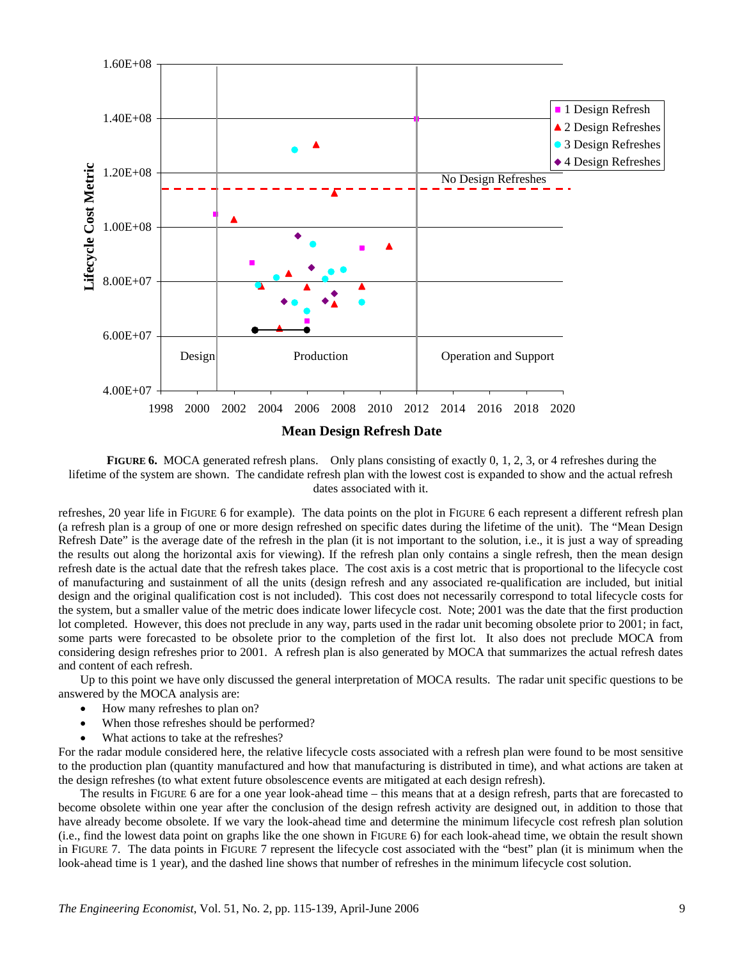

**FIGURE 6.** MOCA generated refresh plans. Only plans consisting of exactly 0, 1, 2, 3, or 4 refreshes during the lifetime of the system are shown. The candidate refresh plan with the lowest cost is expanded to show and the actual refresh dates associated with it.

refreshes, 20 year life in FIGURE 6 for example). The data points on the plot in FIGURE 6 each represent a different refresh plan (a refresh plan is a group of one or more design refreshed on specific dates during the lifetime of the unit). The "Mean Design Refresh Date" is the average date of the refresh in the plan (it is not important to the solution, i.e., it is just a way of spreading the results out along the horizontal axis for viewing). If the refresh plan only contains a single refresh, then the mean design refresh date is the actual date that the refresh takes place. The cost axis is a cost metric that is proportional to the lifecycle cost of manufacturing and sustainment of all the units (design refresh and any associated re-qualification are included, but initial design and the original qualification cost is not included). This cost does not necessarily correspond to total lifecycle costs for the system, but a smaller value of the metric does indicate lower lifecycle cost. Note; 2001 was the date that the first production lot completed. However, this does not preclude in any way, parts used in the radar unit becoming obsolete prior to 2001; in fact, some parts were forecasted to be obsolete prior to the completion of the first lot. It also does not preclude MOCA from considering design refreshes prior to 2001. A refresh plan is also generated by MOCA that summarizes the actual refresh dates and content of each refresh.

Up to this point we have only discussed the general interpretation of MOCA results. The radar unit specific questions to be answered by the MOCA analysis are:

- How many refreshes to plan on?
- When those refreshes should be performed?
- What actions to take at the refreshes?

For the radar module considered here, the relative lifecycle costs associated with a refresh plan were found to be most sensitive to the production plan (quantity manufactured and how that manufacturing is distributed in time), and what actions are taken at the design refreshes (to what extent future obsolescence events are mitigated at each design refresh).

The results in FIGURE 6 are for a one year look-ahead time – this means that at a design refresh, parts that are forecasted to become obsolete within one year after the conclusion of the design refresh activity are designed out, in addition to those that have already become obsolete. If we vary the look-ahead time and determine the minimum lifecycle cost refresh plan solution (i.e., find the lowest data point on graphs like the one shown in FIGURE 6) for each look-ahead time, we obtain the result shown in FIGURE 7. The data points in FIGURE 7 represent the lifecycle cost associated with the "best" plan (it is minimum when the look-ahead time is 1 year), and the dashed line shows that number of refreshes in the minimum lifecycle cost solution.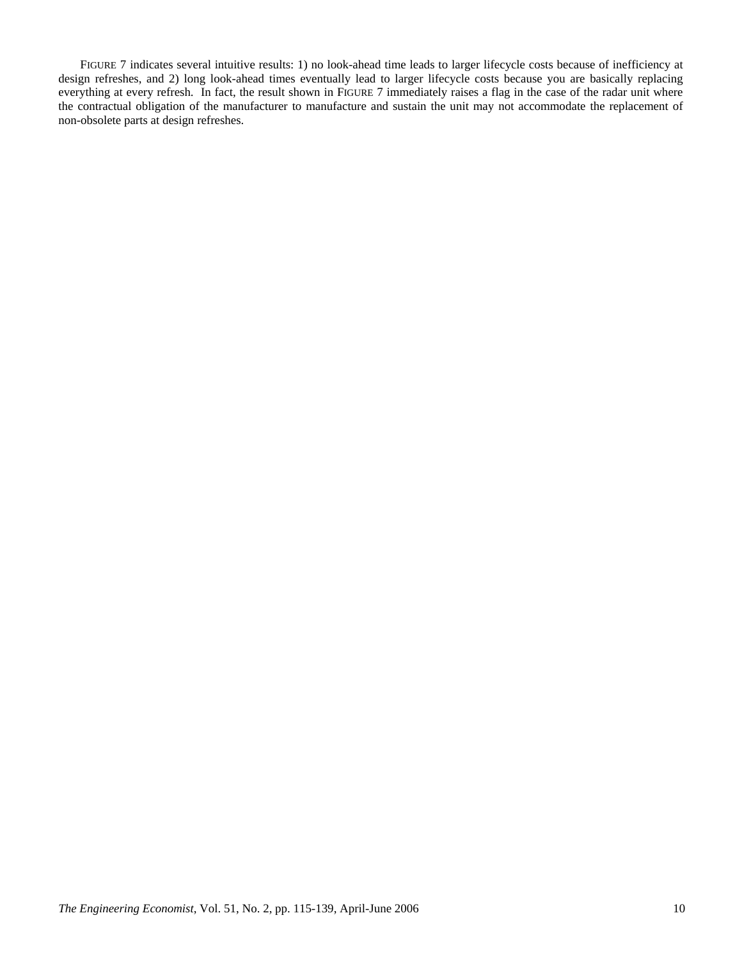FIGURE 7 indicates several intuitive results: 1) no look-ahead time leads to larger lifecycle costs because of inefficiency at design refreshes, and 2) long look-ahead times eventually lead to larger lifecycle costs because you are basically replacing everything at every refresh. In fact, the result shown in FIGURE 7 immediately raises a flag in the case of the radar unit where the contractual obligation of the manufacturer to manufacture and sustain the unit may not accommodate the replacement of non-obsolete parts at design refreshes.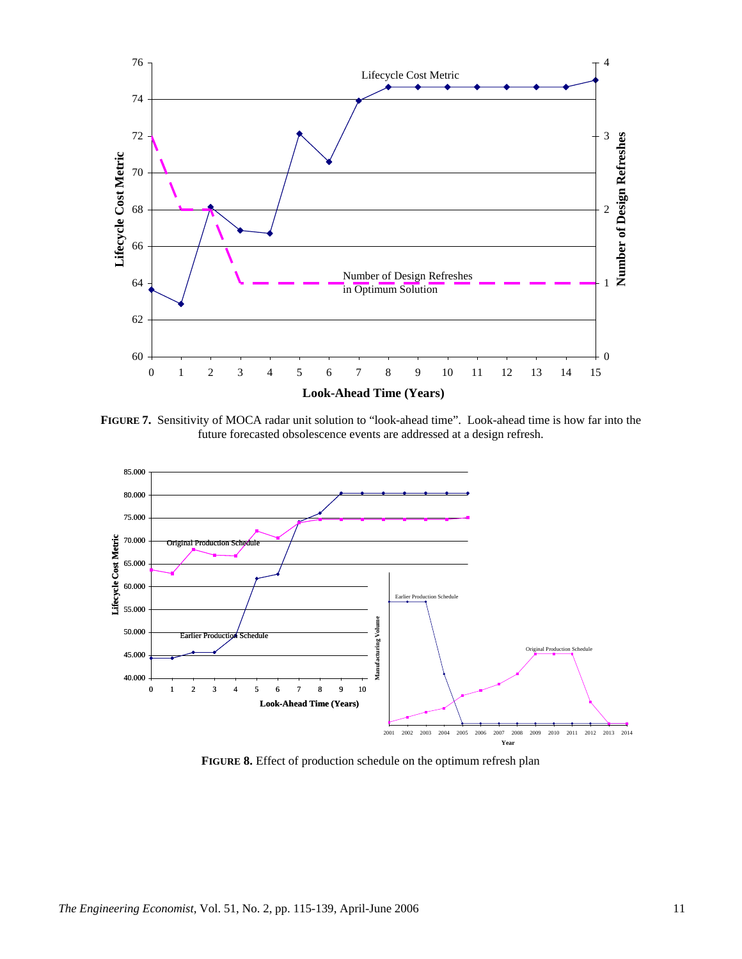

**FIGURE 7.** Sensitivity of MOCA radar unit solution to "look-ahead time". Look-ahead time is how far into the future forecasted obsolescence events are addressed at a design refresh.



**FIGURE 8.** Effect of production schedule on the optimum refresh plan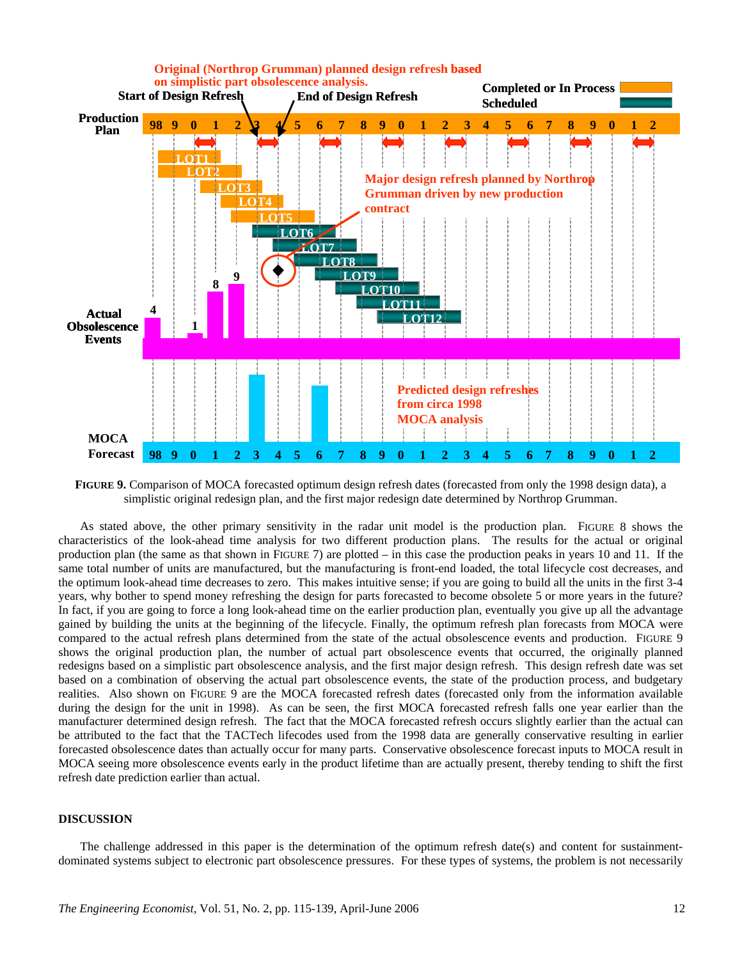

**FIGURE 9.** Comparison of MOCA forecasted optimum design refresh dates (forecasted from only the 1998 design data), a simplistic original redesign plan, and the first major redesign date determined by Northrop Grumman.

As stated above, the other primary sensitivity in the radar unit model is the production plan. FIGURE 8 shows the characteristics of the look-ahead time analysis for two different production plans. The results for the actual or original production plan (the same as that shown in FIGURE 7) are plotted – in this case the production peaks in years 10 and 11. If the same total number of units are manufactured, but the manufacturing is front-end loaded, the total lifecycle cost decreases, and the optimum look-ahead time decreases to zero. This makes intuitive sense; if you are going to build all the units in the first 3-4 years, why bother to spend money refreshing the design for parts forecasted to become obsolete 5 or more years in the future? In fact, if you are going to force a long look-ahead time on the earlier production plan, eventually you give up all the advantage gained by building the units at the beginning of the lifecycle. Finally, the optimum refresh plan forecasts from MOCA were compared to the actual refresh plans determined from the state of the actual obsolescence events and production. FIGURE 9 shows the original production plan, the number of actual part obsolescence events that occurred, the originally planned redesigns based on a simplistic part obsolescence analysis, and the first major design refresh. This design refresh date was set based on a combination of observing the actual part obsolescence events, the state of the production process, and budgetary realities. Also shown on FIGURE 9 are the MOCA forecasted refresh dates (forecasted only from the information available during the design for the unit in 1998). As can be seen, the first MOCA forecasted refresh falls one year earlier than the manufacturer determined design refresh. The fact that the MOCA forecasted refresh occurs slightly earlier than the actual can be attributed to the fact that the TACTech lifecodes used from the 1998 data are generally conservative resulting in earlier forecasted obsolescence dates than actually occur for many parts. Conservative obsolescence forecast inputs to MOCA result in MOCA seeing more obsolescence events early in the product lifetime than are actually present, thereby tending to shift the first refresh date prediction earlier than actual.

# **DISCUSSION**

The challenge addressed in this paper is the determination of the optimum refresh date(s) and content for sustainmentdominated systems subject to electronic part obsolescence pressures. For these types of systems, the problem is not necessarily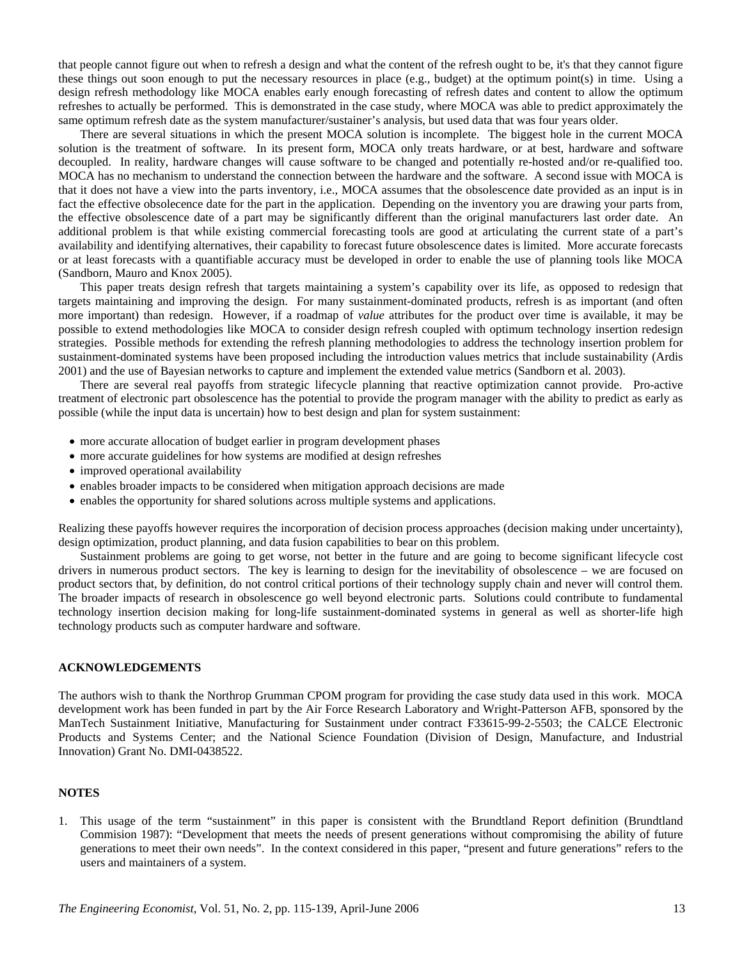that people cannot figure out when to refresh a design and what the content of the refresh ought to be, it's that they cannot figure these things out soon enough to put the necessary resources in place (e.g., budget) at the optimum point(s) in time. Using a design refresh methodology like MOCA enables early enough forecasting of refresh dates and content to allow the optimum refreshes to actually be performed. This is demonstrated in the case study, where MOCA was able to predict approximately the same optimum refresh date as the system manufacturer/sustainer's analysis, but used data that was four years older.

There are several situations in which the present MOCA solution is incomplete. The biggest hole in the current MOCA solution is the treatment of software. In its present form, MOCA only treats hardware, or at best, hardware and software decoupled. In reality, hardware changes will cause software to be changed and potentially re-hosted and/or re-qualified too. MOCA has no mechanism to understand the connection between the hardware and the software. A second issue with MOCA is that it does not have a view into the parts inventory, i.e., MOCA assumes that the obsolescence date provided as an input is in fact the effective obsolecence date for the part in the application. Depending on the inventory you are drawing your parts from, the effective obsolescence date of a part may be significantly different than the original manufacturers last order date. An additional problem is that while existing commercial forecasting tools are good at articulating the current state of a part's availability and identifying alternatives, their capability to forecast future obsolescence dates is limited. More accurate forecasts or at least forecasts with a quantifiable accuracy must be developed in order to enable the use of planning tools like MOCA (Sandborn, Mauro and Knox 2005).

This paper treats design refresh that targets maintaining a system's capability over its life, as opposed to redesign that targets maintaining and improving the design. For many sustainment-dominated products, refresh is as important (and often more important) than redesign. However, if a roadmap of *value* attributes for the product over time is available, it may be possible to extend methodologies like MOCA to consider design refresh coupled with optimum technology insertion redesign strategies. Possible methods for extending the refresh planning methodologies to address the technology insertion problem for sustainment-dominated systems have been proposed including the introduction values metrics that include sustainability (Ardis 2001) and the use of Bayesian networks to capture and implement the extended value metrics (Sandborn et al. 2003).

There are several real payoffs from strategic lifecycle planning that reactive optimization cannot provide. Pro-active treatment of electronic part obsolescence has the potential to provide the program manager with the ability to predict as early as possible (while the input data is uncertain) how to best design and plan for system sustainment:

- more accurate allocation of budget earlier in program development phases
- more accurate guidelines for how systems are modified at design refreshes
- improved operational availability
- enables broader impacts to be considered when mitigation approach decisions are made
- enables the opportunity for shared solutions across multiple systems and applications.

Realizing these payoffs however requires the incorporation of decision process approaches (decision making under uncertainty), design optimization, product planning, and data fusion capabilities to bear on this problem.

Sustainment problems are going to get worse, not better in the future and are going to become significant lifecycle cost drivers in numerous product sectors. The key is learning to design for the inevitability of obsolescence – we are focused on product sectors that, by definition, do not control critical portions of their technology supply chain and never will control them. The broader impacts of research in obsolescence go well beyond electronic parts. Solutions could contribute to fundamental technology insertion decision making for long-life sustainment-dominated systems in general as well as shorter-life high technology products such as computer hardware and software.

#### **ACKNOWLEDGEMENTS**

The authors wish to thank the Northrop Grumman CPOM program for providing the case study data used in this work. MOCA development work has been funded in part by the Air Force Research Laboratory and Wright-Patterson AFB, sponsored by the ManTech Sustainment Initiative, Manufacturing for Sustainment under contract F33615-99-2-5503; the CALCE Electronic Products and Systems Center; and the National Science Foundation (Division of Design, Manufacture, and Industrial Innovation) Grant No. DMI-0438522.

# **NOTES**

1. This usage of the term "sustainment" in this paper is consistent with the Brundtland Report definition (Brundtland Commision 1987): "Development that meets the needs of present generations without compromising the ability of future generations to meet their own needs". In the context considered in this paper, "present and future generations" refers to the users and maintainers of a system.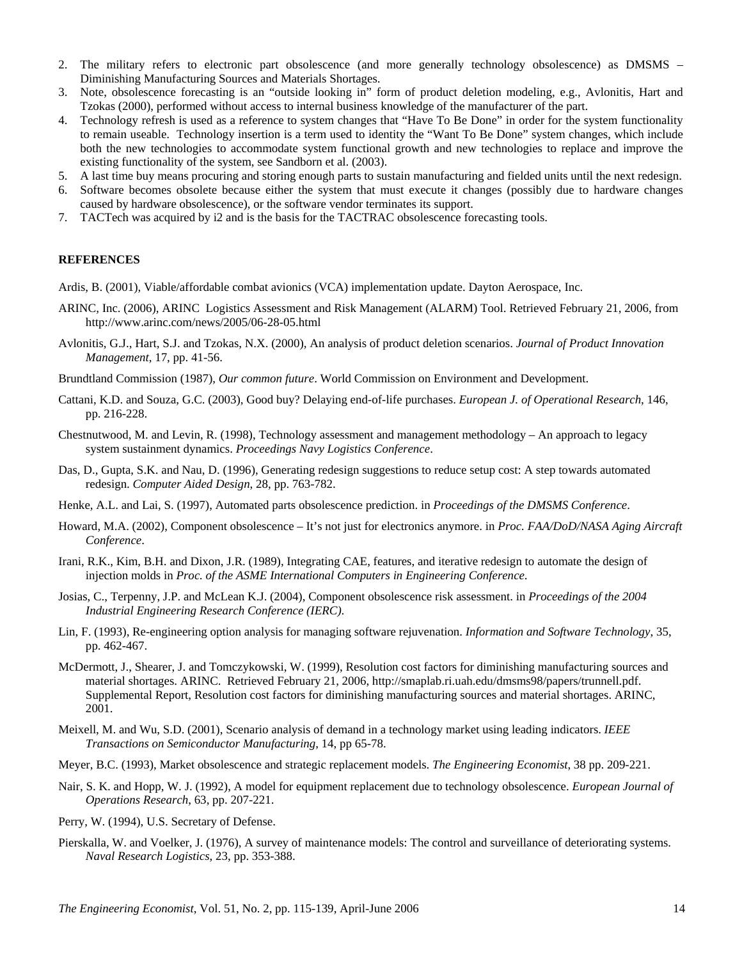- 2. The military refers to electronic part obsolescence (and more generally technology obsolescence) as DMSMS Diminishing Manufacturing Sources and Materials Shortages.
- 3. Note, obsolescence forecasting is an "outside looking in" form of product deletion modeling, e.g., Avlonitis, Hart and Tzokas (2000), performed without access to internal business knowledge of the manufacturer of the part.
- 4. Technology refresh is used as a reference to system changes that "Have To Be Done" in order for the system functionality to remain useable. Technology insertion is a term used to identity the "Want To Be Done" system changes, which include both the new technologies to accommodate system functional growth and new technologies to replace and improve the existing functionality of the system, see Sandborn et al. (2003).
- 5. A last time buy means procuring and storing enough parts to sustain manufacturing and fielded units until the next redesign.
- 6. Software becomes obsolete because either the system that must execute it changes (possibly due to hardware changes caused by hardware obsolescence), or the software vendor terminates its support.
- 7. TACTech was acquired by i2 and is the basis for the TACTRAC obsolescence forecasting tools.

# **REFERENCES**

- Ardis, B. (2001), Viable/affordable combat avionics (VCA) implementation update. Dayton Aerospace, Inc.
- ARINC, Inc. (2006), ARINC Logistics Assessment and Risk Management (ALARM) Tool. Retrieved February 21, 2006, from http://www.arinc.com/news/2005/06-28-05.html
- Avlonitis, G.J., Hart, S.J. and Tzokas, N.X. (2000), An analysis of product deletion scenarios. *Journal of Product Innovation Management*, 17, pp. 41-56.
- Brundtland Commission (1987), *Our common future*. World Commission on Environment and Development.
- Cattani, K.D. and Souza, G.C. (2003), Good buy? Delaying end-of-life purchases. *European J. of Operational Research*, 146, pp. 216-228.
- Chestnutwood, M. and Levin, R. (1998), Technology assessment and management methodology An approach to legacy system sustainment dynamics. *Proceedings Navy Logistics Conference*.
- Das, D., Gupta, S.K. and Nau, D. (1996), Generating redesign suggestions to reduce setup cost: A step towards automated redesign. *Computer Aided Design*, 28, pp. 763-782.
- Henke, A.L. and Lai, S. (1997), Automated parts obsolescence prediction. in *Proceedings of the DMSMS Conference*.
- Howard, M.A. (2002), Component obsolescence It's not just for electronics anymore. in *Proc. FAA/DoD/NASA Aging Aircraft Conference*.
- Irani, R.K., Kim, B.H. and Dixon, J.R. (1989), Integrating CAE, features, and iterative redesign to automate the design of injection molds in *Proc. of the ASME International Computers in Engineering Conference*.
- Josias, C., Terpenny, J.P. and McLean K.J. (2004), Component obsolescence risk assessment. in *Proceedings of the 2004 Industrial Engineering Research Conference (IERC)*.
- Lin, F. (1993), Re-engineering option analysis for managing software rejuvenation. *Information and Software Technology*, 35, pp. 462-467.
- McDermott, J., Shearer, J. and Tomczykowski, W. (1999), Resolution cost factors for diminishing manufacturing sources and material shortages. ARINC. Retrieved February 21, 2006, http://smaplab.ri.uah.edu/dmsms98/papers/trunnell.pdf. Supplemental Report, Resolution cost factors for diminishing manufacturing sources and material shortages. ARINC, 2001.
- Meixell, M. and Wu, S.D. (2001), Scenario analysis of demand in a technology market using leading indicators. *IEEE Transactions on Semiconductor Manufacturing*, 14, pp 65-78.
- Meyer, B.C. (1993), Market obsolescence and strategic replacement models. *The Engineering Economist*, 38 pp. 209-221.
- Nair, S. K. and Hopp, W. J. (1992), A model for equipment replacement due to technology obsolescence. *European Journal of Operations Research*, 63, pp. 207-221.
- Perry, W. (1994), U.S. Secretary of Defense.
- Pierskalla, W. and Voelker, J. (1976), A survey of maintenance models: The control and surveillance of deteriorating systems. *Naval Research Logistics*, 23, pp. 353-388.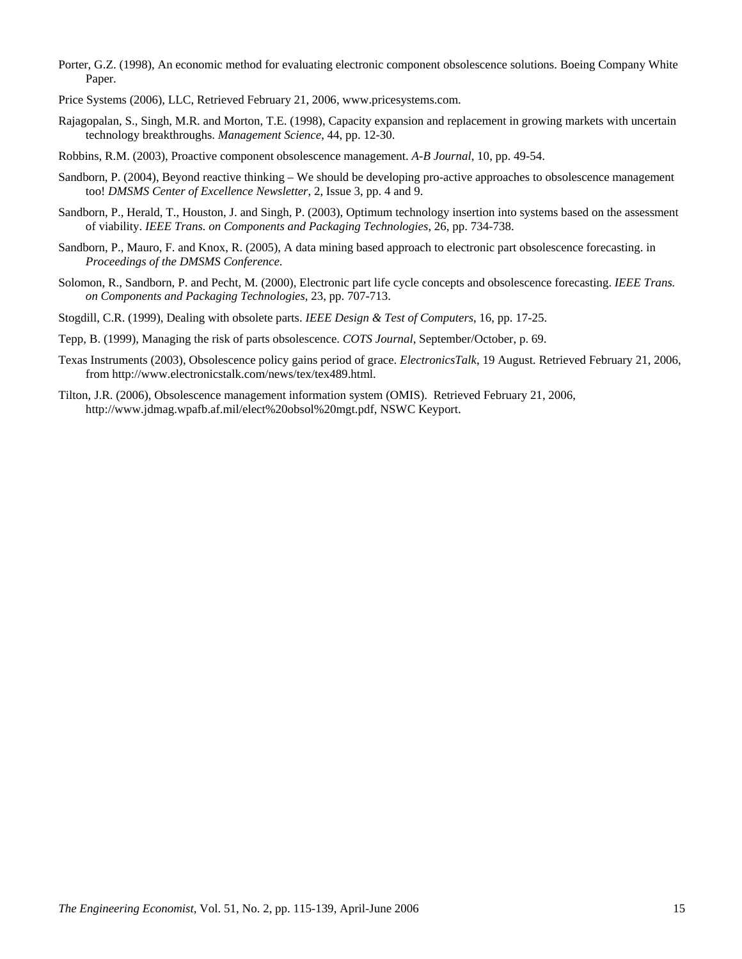- Porter, G.Z. (1998), An economic method for evaluating electronic component obsolescence solutions. Boeing Company White Paper.
- Price Systems (2006), LLC, Retrieved February 21, 2006, www.pricesystems.com.
- Rajagopalan, S., Singh, M.R. and Morton, T.E. (1998), Capacity expansion and replacement in growing markets with uncertain technology breakthroughs. *Management Science*, 44, pp. 12-30.
- Robbins, R.M. (2003), Proactive component obsolescence management. *A-B Journal*, 10, pp. 49-54.
- Sandborn, P. (2004), Beyond reactive thinking We should be developing pro-active approaches to obsolescence management too! *DMSMS Center of Excellence Newsletter*, 2, Issue 3, pp. 4 and 9.
- Sandborn, P., Herald, T., Houston, J. and Singh, P. (2003), Optimum technology insertion into systems based on the assessment of viability. *IEEE Trans. on Components and Packaging Technologies*, 26, pp. 734-738.
- Sandborn, P., Mauro, F. and Knox, R. (2005), A data mining based approach to electronic part obsolescence forecasting. in *Proceedings of the DMSMS Conference*.
- Solomon, R., Sandborn, P. and Pecht, M. (2000), Electronic part life cycle concepts and obsolescence forecasting. *IEEE Trans. on Components and Packaging Technologies*, 23, pp. 707-713.
- Stogdill, C.R. (1999), Dealing with obsolete parts. *IEEE Design & Test of Computers*, 16, pp. 17-25.
- Tepp, B. (1999), Managing the risk of parts obsolescence. *COTS Journal*, September/October, p. 69.
- Texas Instruments (2003), Obsolescence policy gains period of grace. *ElectronicsTalk*, 19 August. Retrieved February 21, 2006, from http://www.electronicstalk.com/news/tex/tex489.html.
- Tilton, J.R. (2006), Obsolescence management information system (OMIS). Retrieved February 21, 2006, http://www.jdmag.wpafb.af.mil/elect%20obsol%20mgt.pdf, NSWC Keyport.